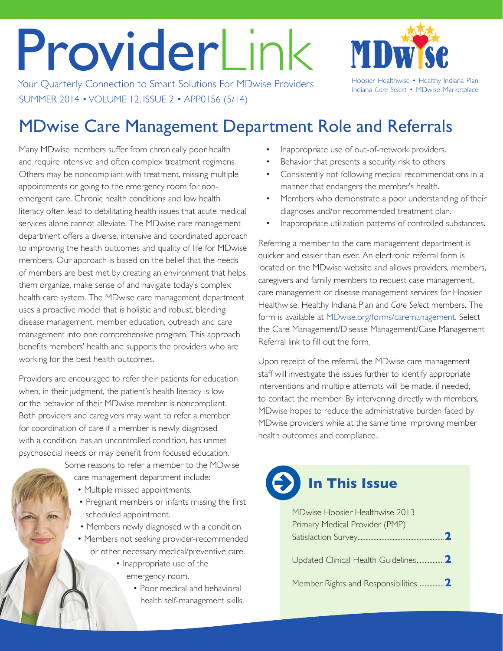# ProviderLink

Your Quarterly Connection to Smart Solutions For MDwise Providers Hoosier Healthwise • Healthy Indiana Plan SUMMER 2014 • VOLUME 12, ISSUE 2 • APP0156 (5/14)



Indiana *Care Select* • MDwise Marketplace

## MDwise Care Management Department Role and Referrals

Many MDwise members suffer from chronically poor health and require intensive and often complex treatment regimens. Others may be noncompliant with treatment, missing multiple appointments or going to the emergency room for nonemergent care. Chronic health conditions and low health literacy often lead to debilitating health issues that acute medical services alone cannot alleviate. The MDwise care management department offers a diverse, intensive and coordinated approach to improving the health outcomes and quality of life for MDwise members. Our approach is based on the belief that the needs of members are best met by creating an environment that helps them organize, make sense of and navigate today's complex health care system. The MDwise care management department uses a proactive model that is holistic and robust, blending disease management, member education, outreach and care management into one comprehensive program. This approach benefits members' health and supports the providers who are working for the best health outcomes.

Providers are encouraged to refer their patients for education when, in their judgment, the patient's health literacy is low or the behavior of their MDwise member is noncompliant. Both providers and caregivers may want to refer a member for coordination of care if a member is newly diagnosed with a condition, has an uncontrolled condition, has unmet psychosocial needs or may benefit from focused education.

> Some reasons to refer a member to the MDwise care management department include:

- Multiple missed appointments.
- Pregnant members or infants missing the first scheduled appointment.
- Members newly diagnosed with a condition.
- Members not seeking provider-recommended or other necessary medical/preventive care.
	- Inappropriate use of the emergency room.
		- Poor medical and behavioral health self-management skills.
- Inappropriate use of out-of-network providers.
- Behavior that presents a security risk to others.
- Consistently not following medical recommendations in a manner that endangers the member's health.
- Members who demonstrate a poor understanding of their diagnoses and/or recommended treatment plan.
- Inappropriate utilization patterns of controlled substances.

Referring a member to the care management department is quicker and easier than ever. An electronic referral form is located on the MDwise website and allows providers, members, caregivers and family members to request case management, care management or disease management services for Hoosier Healthwise, Healthy Indiana Plan and *Care Select* members. The form is available at [MDwise.org/forms/caremanagement](http://MDwise.org/forms/caremanagement). Select the Care Management/Disease Management/Case Management Referral link to fill out the form.

Upon receipt of the referral, the MDwise care management staff will investigate the issues further to identify appropriate interventions and multiple attempts will be made, if needed, to contact the member. By intervening directly with members, MDwise hopes to reduce the administrative burden faced by MDwise providers while at the same time improving member health outcomes and compliance..

# **In This Issue**

| MDwise Hoosier Healthwise 2013      |  |
|-------------------------------------|--|
| Primary Medical Provider (PMP)      |  |
|                                     |  |
| Updated Clinical Health Guidelines2 |  |
|                                     |  |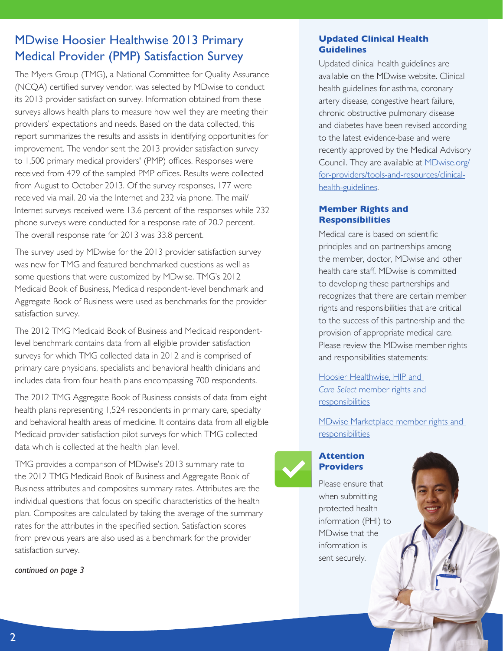## <span id="page-1-0"></span>MDwise Hoosier Healthwise 2013 Primary Medical Provider (PMP) Satisfaction Survey

The Myers Group (TMG), a National Committee for Quality Assurance (NCQA) certified survey vendor, was selected by MDwise to conduct its 2013 provider satisfaction survey. Information obtained from these surveys allows health plans to measure how well they are meeting their providers' expectations and needs. Based on the data collected, this report summarizes the results and assists in identifying opportunities for improvement. The vendor sent the 2013 provider satisfaction survey to 1,500 primary medical providers' (PMP) offices. Responses were received from 429 of the sampled PMP offices. Results were collected from August to October 2013. Of the survey responses, 177 were received via mail, 20 via the Internet and 232 via phone. The mail/ Internet surveys received were 13.6 percent of the responses while 232 phone surveys were conducted for a response rate of 20.2 percent. The overall response rate for 2013 was 33.8 percent.

The survey used by MDwise for the 2013 provider satisfaction survey was new for TMG and featured benchmarked questions as well as some questions that were customized by MDwise. TMG's 2012 Medicaid Book of Business, Medicaid respondent-level benchmark and Aggregate Book of Business were used as benchmarks for the provider satisfaction survey.

The 2012 TMG Medicaid Book of Business and Medicaid respondentlevel benchmark contains data from all eligible provider satisfaction surveys for which TMG collected data in 2012 and is comprised of primary care physicians, specialists and behavioral health clinicians and includes data from four health plans encompassing 700 respondents.

The 2012 TMG Aggregate Book of Business consists of data from eight health plans representing 1,524 respondents in primary care, specialty and behavioral health areas of medicine. It contains data from all eligible Medicaid provider satisfaction pilot surveys for which TMG collected data which is collected at the health plan level.

TMG provides a comparison of MDwise's 2013 summary rate to the 2012 TMG Medicaid Book of Business and Aggregate Book of Business attributes and composites summary rates. Attributes are the individual questions that focus on specific characteristics of the health plan. Composites are calculated by taking the average of the summary rates for the attributes in the specified section. Satisfaction scores from previous years are also used as a benchmark for the provider satisfaction survey.

*continued on page 3*

#### **Updated Clinical Health Guidelines**

Updated clinical health guidelines are available on the MDwise website. Clinical health guidelines for asthma, coronary artery disease, congestive heart failure, chronic obstructive pulmonary disease and diabetes have been revised according to the latest evidence-base and were recently approved by the Medical Advisory Council. They are available at [MDwise.org/](http://www.mdwise.org/for-providers/tools-and-resources/clinical-health-guidelines/) [for-providers/tools-and-resources/clinical](http://www.mdwise.org/for-providers/tools-and-resources/clinical-health-guidelines/)[health-guidelines](http://www.mdwise.org/for-providers/tools-and-resources/clinical-health-guidelines/).

#### **Member Rights and Responsibilities**

Medical care is based on scientific principles and on partnerships among the member, doctor, MDwise and other health care staff. MDwise is committed to developing these partnerships and recognizes that there are certain member rights and responsibilities that are critical to the success of this partnership and the provision of appropriate medical care. Please review the MDwise member rights and responsibilities statements:

Hoosier Healthwise, HIP and *[Care Select](http://www.mdwise.org/MediaLibraries/MDwise/Files/eng-mr.pdf)* member rights and **responsibilities** 

[MDwise Marketplace](http://www.mdwise.org/for-members/mdwise-marketplace/member-information/rights-and-responsibilities/) member rights and responsibilities

### **Attention Providers**

Please ensure that when submitting protected health information (PHI) to MDwise that the information is sent securely.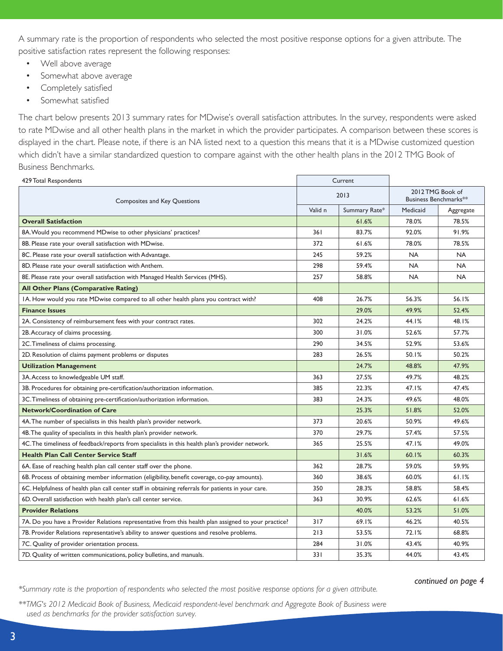A summary rate is the proportion of respondents who selected the most positive response options for a given attribute. The positive satisfaction rates represent the following responses:

- Well above average
- Somewhat above average
- Completely satisfied
- Somewhat satisfied

The chart below presents 2013 summary rates for MDwise's overall satisfaction attributes. In the survey, respondents were asked to rate MDwise and all other health plans in the market in which the provider participates. A comparison between these scores is displayed in the chart. Please note, if there is an NA listed next to a question this means that it is a MDwise customized question which didn't have a similar standardized question to compare against with the other health plans in the 2012 TMG Book of Business Benchmarks.

| 429 Total Respondents                                                                                | Current |               |           |                                           |  |
|------------------------------------------------------------------------------------------------------|---------|---------------|-----------|-------------------------------------------|--|
| Composites and Key Questions                                                                         |         | 2013          |           | 2012 TMG Book of<br>Business Benchmarks** |  |
|                                                                                                      |         | Summary Rate* | Medicaid  | Aggregate                                 |  |
| <b>Overall Satisfaction</b>                                                                          |         | 61.6%         | 78.0%     | 78.5%                                     |  |
| 8A. Would you recommend MDwise to other physicians' practices?                                       | 361     | 83.7%         | 92.0%     | 91.9%                                     |  |
| 8B. Please rate your overall satisfaction with MDwise.                                               | 372     | 61.6%         | 78.0%     | 78.5%                                     |  |
| 8C. Please rate your overall satisfaction with Advantage.                                            | 245     | 59.2%         | <b>NA</b> | <b>NA</b>                                 |  |
| 8D. Please rate your overall satisfaction with Anthem.                                               | 298     | 59.4%         | <b>NA</b> | <b>NA</b>                                 |  |
| 8E. Please rate your overall satisfaction with Managed Health Services (MHS).                        | 257     | 58.8%         | <b>NA</b> | <b>NA</b>                                 |  |
| All Other Plans (Comparative Rating)                                                                 |         |               |           |                                           |  |
| IA. How would you rate MDwise compared to all other health plans you contract with?                  | 408     | 26.7%         | 56.3%     | 56.1%                                     |  |
| <b>Finance Issues</b>                                                                                |         | 29.0%         | 49.9%     | 52.4%                                     |  |
| 2A. Consistency of reimbursement fees with your contract rates.                                      | 302     | 24.2%         | 44.1%     | 48.1%                                     |  |
| 2B. Accuracy of claims processing.                                                                   | 300     | 31.0%         | 52.6%     | 57.7%                                     |  |
| 2C. Timeliness of claims processing.                                                                 | 290     | 34.5%         | 52.9%     | 53.6%                                     |  |
| 2D. Resolution of claims payment problems or disputes                                                | 283     | 26.5%         | 50.1%     | 50.2%                                     |  |
| <b>Utilization Management</b>                                                                        |         | 24.7%         | 48.8%     | 47.9%                                     |  |
| 3A. Access to knowledgeable UM staff.                                                                | 363     | 27.5%         | 49.7%     | 48.2%                                     |  |
| 3B. Procedures for obtaining pre-certification/authorization information.                            | 385     | 22.3%         | 47.1%     | 47.4%                                     |  |
| 3C. Timeliness of obtaining pre-certification/authorization information.                             | 383     | 24.3%         | 49.6%     | 48.0%                                     |  |
| <b>Network/Coordination of Care</b>                                                                  |         | 25.3%         | 51.8%     | 52.0%                                     |  |
| 4A. The number of specialists in this health plan's provider network.                                | 373     | 20.6%         | 50.9%     | 49.6%                                     |  |
| 4B. The quality of specialists in this health plan's provider network.                               | 370     | 29.7%         | 57.4%     | 57.5%                                     |  |
| 4C. The timeliness of feedback/reports from specialists in this health plan's provider network.      | 365     | 25.5%         | 47.1%     | 49.0%                                     |  |
| <b>Health Plan Call Center Service Staff</b>                                                         |         | 31.6%         | 60.1%     | 60.3%                                     |  |
| 6A. Ease of reaching health plan call center staff over the phone.                                   | 362     | 28.7%         | 59.0%     | 59.9%                                     |  |
| 6B. Process of obtaining member information (eligibility, benefit coverage, co-pay amounts).         | 360     | 38.6%         | 60.0%     | 61.1%                                     |  |
| 6C. Helpfulness of health plan call center staff in obtaining referrals for patients in your care.   | 350     | 28.3%         | 58.8%     | 58.4%                                     |  |
| 6D. Overall satisfaction with health plan's call center service.                                     | 363     | 30.9%         | 62.6%     | 61.6%                                     |  |
| <b>Provider Relations</b>                                                                            |         | 40.0%         | 53.2%     | 51.0%                                     |  |
| 7A. Do you have a Provider Relations representative from this health plan assigned to your practice? | 317     | 69.1%         | 46.2%     | 40.5%                                     |  |
| 7B. Provider Relations representative's ability to answer questions and resolve problems.            | 213     | 53.5%         | 72.1%     | 68.8%                                     |  |
| 7C. Quality of provider orientation process.                                                         | 284     | 31.0%         | 43.4%     | 40.9%                                     |  |
| 7D. Quality of written communications, policy bulletins, and manuals.                                | 331     | 35.3%         | 44.0%     | 43.4%                                     |  |

*continued on page 4 \*Summary rate is the proportion of respondents who selected the most positive response options for a given attribute.* 

*\*\*TMG's 2012 Medicaid Book of Business, Medicaid respondent-level benchmark and Aggregate Book of Business were used as benchmarks for the provider satisfaction survey.*